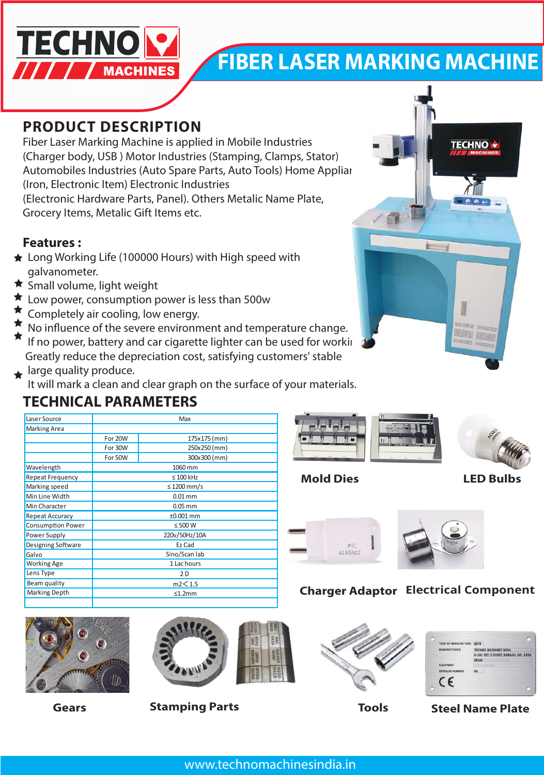

## **FIBER LASER MARKING MACHINE**

### **PRODUCT DESCRIPTION**

Fiber Laser Marking Machine is applied in Mobile Industries (Charger body, USB ) Motor Industries (Stamping, Clamps, Stator) Automobiles Industries (Auto Spare Parts, Auto Tools) Home Applian (Iron, Electronic Item) Electronic Industries (Electronic Hardware Parts, Panel). Others Metalic Name Plate, Grocery Items, Metalic Gift Items etc.

#### **Features :**

- $\bigstar$  Long Working Life (100000 Hours) with High speed with galvanometer.
- $\star$  Small volume, light weight
- $\star$  Low power, consumption power is less than 500w
- $\star$  Completely air cooling, low energy.
- No influence of the severe environment and temperature change. If no power, battery and car cigarette lighter can be used for working. Greatly reduce the depreciation cost, satisfying customers' stable
- $\triangle$  large quality produce.
	- It will mark a clean and clear graph on the surface of your materials.

## **TECHNICAL PARAMETERS**

| Laser Source             | Max              |              |
|--------------------------|------------------|--------------|
| <b>Marking Area</b>      |                  |              |
|                          | For 20W          | 175x175 (mm) |
|                          | For 30W          | 250x250 (mm) |
|                          | For 50W          | 300x300 (mm) |
| Wavelength               | 1060 mm          |              |
| <b>Repeat Frequency</b>  | $\leq 100$ kHz   |              |
| Marking speed            | $\leq$ 1200 mm/s |              |
| Min Line Width           | $0.01$ mm        |              |
| Min Character            | $0.05$ mm        |              |
| <b>Repeat Accuracy</b>   | $±0.001$ mm      |              |
| <b>Consumption Power</b> | $\leq 500 W$     |              |
| Power Supply             | 220v/50Hz/10A    |              |
| Designing Software       | Ez Cad           |              |
| Galvo                    | Sino/Scan lab    |              |
| <b>Working Age</b>       | 1 Lac hours      |              |
| Lens Type                | 2 <sub>D</sub>   |              |
| Beam quality             | m2 < 1.5         |              |
| <b>Marking Depth</b>     | ≤1.2mm           |              |
|                          |                  |              |



**Mold Dies LED Bulbs**



#### **Charger Adaptor Electrical Component**









**Gears Stamping Parts Tools Steel Name Plate**